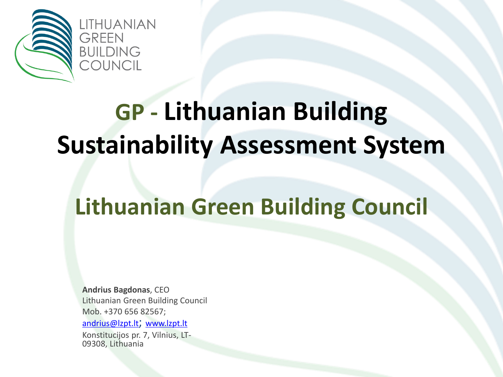

## **GP - Lithuanian Building Sustainability Assessment System**

### **Lithuanian Green Building Council**

**Andrius Bagdonas**, CEO Lithuanian Green Building Council Mob. +370 656 82567;

[andrius@lzpt.lt](mailto:andrius@lzpt.lt); <www.lzpt.lt>

Konstitucijos pr. 7, Vilnius, LT-09308, Lithuania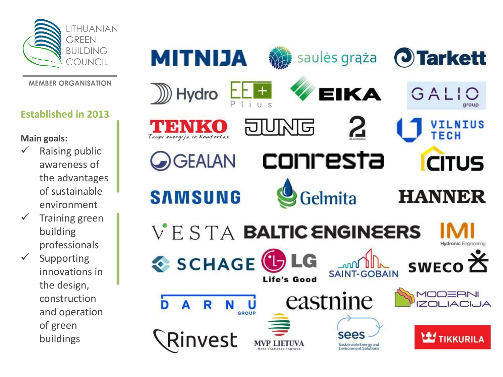

**MEMBER ORGANISATION** 

#### **Established in 2013**

**Main goals:**

- $\checkmark$  Raising public awareness of the advantages of sustainable environment
- $\checkmark$  Training green building professionals
- $\checkmark$  Supporting innovations in the design, construction and operation of green buildings

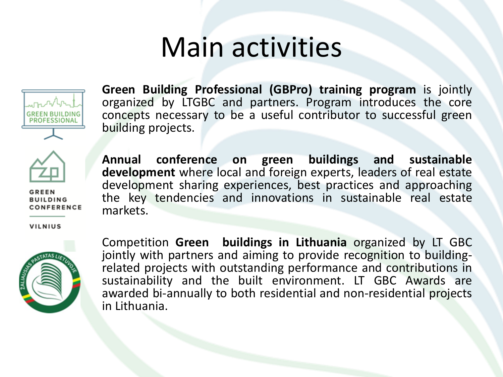### Main activities



**Green Building Professional (GBPro) training program** is jointly organized by LTGBC and partners. Program introduces the core concepts necessary to be a useful contributor to successful green building projects.



**GREEN BUILDING** CONFERENCE **Annual conference on green buildings and sustainable development** where local and foreign experts, leaders of real estate development sharing experiences, best practices and approaching the key tendencies and innovations in sustainable real estate markets.

**VILNIUS** 



Competition **Green buildings in Lithuania** organized by LT GBC jointly with partners and aiming to provide recognition to buildingrelated projects with outstanding performance and contributions in sustainability and the built environment. LT GBC Awards are awarded bi-annually to both residential and non-residential projects in Lithuania.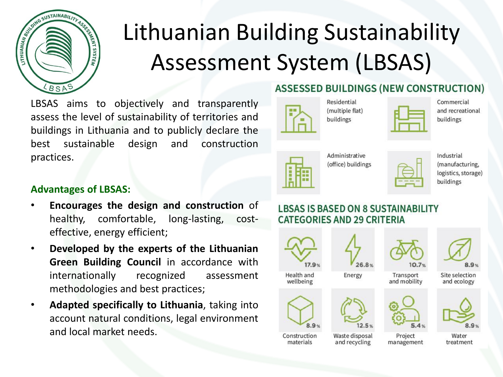

### Lithuanian Building Sustainability Assessment System (LBSAS)

LBSAS aims to objectively and transparently assess the level of sustainability of territories and buildings in Lithuania and to publicly declare the best sustainable design and construction practices.

### **ASSESSED BUILDINGS (NEW CONSTRUCTION)**



Residential (multiple flat) buildings

|  | w      |  |
|--|--------|--|
|  |        |  |
|  |        |  |
|  |        |  |
|  | $\sim$ |  |

Administrative (office) buildings



#### **Advantages of LBSAS:**

- **Encourages the design and construction** of healthy, comfortable, long-lasting, costeffective, energy efficient;
- **Developed by the experts of the Lithuanian Green Building Council** in accordance with internationally recognized assessment methodologies and best practices;
- **Adapted specifically to Lithuania**, taking into account natural conditions, legal environment and local market needs.

#### **LBSAS IS BASED ON 8 SUSTAINABILITY CATEGORIES AND 29 CRITERIA**



Commercial and recreational buildings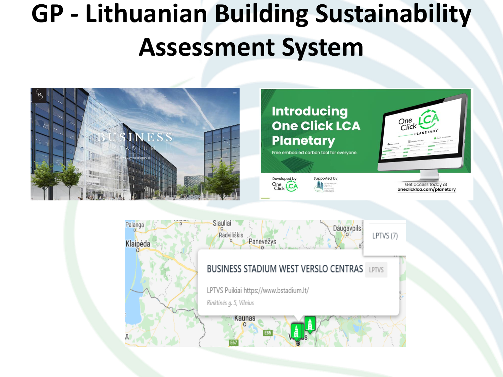## **GP - Lithuanian Building Sustainability Assessment System**



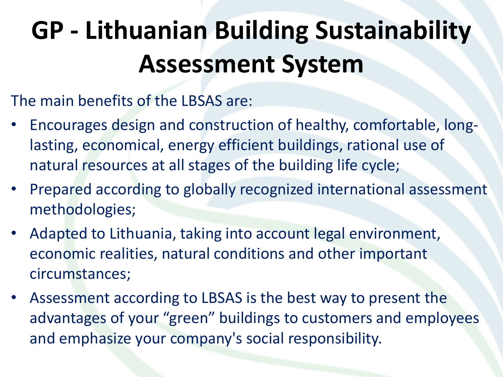# **GP - Lithuanian Building Sustainability Assessment System**

The main benefits of the LBSAS are:

- Encourages design and construction of healthy, comfortable, longlasting, economical, energy efficient buildings, rational use of natural resources at all stages of the building life cycle;
- Prepared according to globally recognized international assessment methodologies;
- Adapted to Lithuania, taking into account legal environment, economic realities, natural conditions and other important circumstances;
- Assessment according to LBSAS is the best way to present the advantages of your "green" buildings to customers and employees and emphasize your company's social responsibility.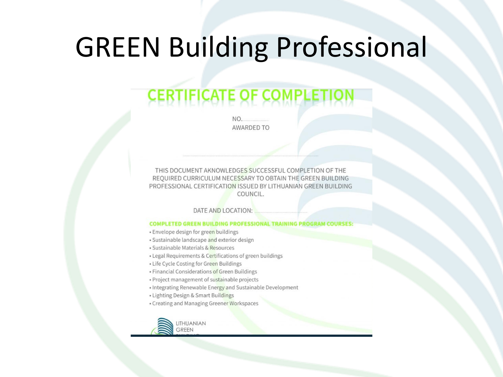### GREEN Building Professional

### **CERTIFICATE OF COMPLETIO**

 $NO$ . **AWARDED TO** 

THIS DOCUMENT AKNOWLEDGES SUCCESSFUL COMPLETION OF THE REQUIRED CURRICULUM NECESSARY TO OBTAIN THE GREEN BUILDING PROFESSIONAL CERTIFICATION ISSUED BY LITHUANIAN GREEN BUILDING COUNCIL.

DATE AND LOCATION:

#### **COMPLETED GREEN BUILDING PROFESSIONAL TRAINING PROGRAM COURSES:**

- · Envelope design for green buildings
- · Sustainable landscape and exterior design
- · Sustainable Materials & Resources
- Legal Requirements & Certifications of green buildings
- Life Cycle Costing for Green Buildings
- · Financial Considerations of Green Buildings
- · Project management of sustainable projects
- Integrating Renewable Energy and Sustainable Development
- Lighting Design & Smart Buildings
- Creating and Managing Greener Workspaces